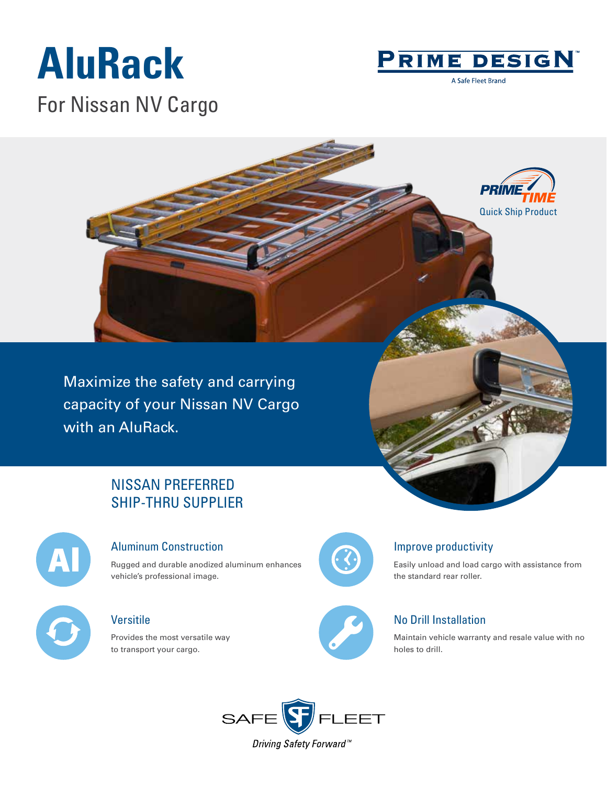# **AluRack**



A Safe Fleet Brand

For Nissan NV Cargo



Maximize the safety and carrying capacity of your Nissan NV Cargo with an AluRack.

## NISSAN PREFERRED SHIP-THRU SUPPLIER



#### Aluminum Construction

Rugged and durable anodized aluminum enhances vehicle's professional image.

### Versitile

Provides the most versatile way to transport your cargo.



### Improve productivity

Easily unload and load cargo with assistance from the standard rear roller.

### No Drill Installation

Maintain vehicle warranty and resale value with no holes to drill.